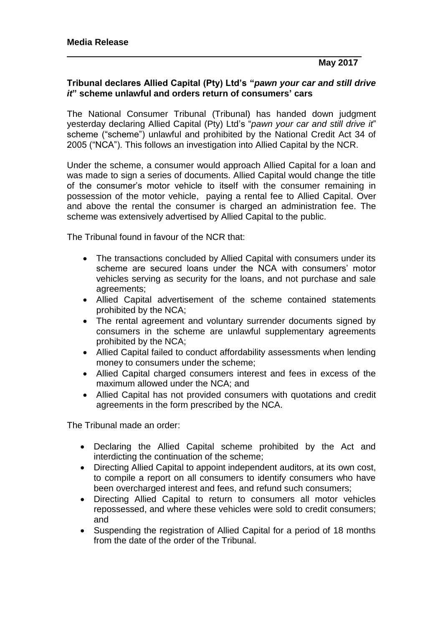## **Tribunal declares Allied Capital (Pty) Ltd's "***pawn your car and still drive it***" scheme unlawful and orders return of consumers' cars**

The National Consumer Tribunal (Tribunal) has handed down judgment yesterday declaring Allied Capital (Pty) Ltd's "*pawn your car and still drive it*" scheme ("scheme") unlawful and prohibited by the National Credit Act 34 of 2005 ("NCA"). This follows an investigation into Allied Capital by the NCR.

Under the scheme, a consumer would approach Allied Capital for a loan and was made to sign a series of documents. Allied Capital would change the title of the consumer's motor vehicle to itself with the consumer remaining in possession of the motor vehicle, paying a rental fee to Allied Capital. Over and above the rental the consumer is charged an administration fee. The scheme was extensively advertised by Allied Capital to the public.

The Tribunal found in favour of the NCR that:

- The transactions concluded by Allied Capital with consumers under its scheme are secured loans under the NCA with consumers' motor vehicles serving as security for the loans, and not purchase and sale agreements;
- Allied Capital advertisement of the scheme contained statements prohibited by the NCA;
- The rental agreement and voluntary surrender documents signed by consumers in the scheme are unlawful supplementary agreements prohibited by the NCA;
- Allied Capital failed to conduct affordability assessments when lending money to consumers under the scheme;
- Allied Capital charged consumers interest and fees in excess of the maximum allowed under the NCA; and
- Allied Capital has not provided consumers with quotations and credit agreements in the form prescribed by the NCA.

The Tribunal made an order:

- Declaring the Allied Capital scheme prohibited by the Act and interdicting the continuation of the scheme;
- Directing Allied Capital to appoint independent auditors, at its own cost, to compile a report on all consumers to identify consumers who have been overcharged interest and fees, and refund such consumers;
- Directing Allied Capital to return to consumers all motor vehicles repossessed, and where these vehicles were sold to credit consumers; and
- Suspending the registration of Allied Capital for a period of 18 months from the date of the order of the Tribunal.